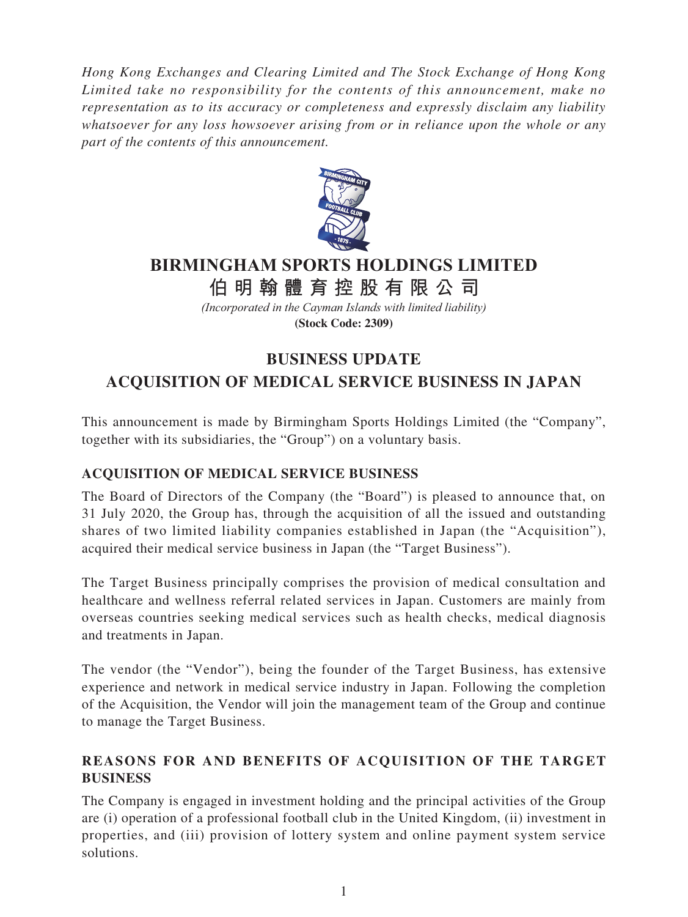*Hong Kong Exchanges and Clearing Limited and The Stock Exchange of Hong Kong Limited take no responsibility for the contents of this announcement, make no representation as to its accuracy or completeness and expressly disclaim any liability whatsoever for any loss howsoever arising from or in reliance upon the whole or any part of the contents of this announcement.*



# **BIRMINGHAM SPORTS HOLDINGS LIMITED**

**伯明翰體育控股有限公 司**

*(Incorporated in the Cayman Islands with limited liability)* **(Stock Code: 2309)**

## **BUSINESS UPDATE ACQUISITION OF MEDICAL SERVICE BUSINESS IN JAPAN**

This announcement is made by Birmingham Sports Holdings Limited (the "Company", together with its subsidiaries, the "Group") on a voluntary basis.

### **ACQUISITION OF MEDICAL SERVICE BUSINESS**

The Board of Directors of the Company (the "Board") is pleased to announce that, on 31 July 2020, the Group has, through the acquisition of all the issued and outstanding shares of two limited liability companies established in Japan (the "Acquisition"), acquired their medical service business in Japan (the "Target Business").

The Target Business principally comprises the provision of medical consultation and healthcare and wellness referral related services in Japan. Customers are mainly from overseas countries seeking medical services such as health checks, medical diagnosis and treatments in Japan.

The vendor (the "Vendor"), being the founder of the Target Business, has extensive experience and network in medical service industry in Japan. Following the completion of the Acquisition, the Vendor will join the management team of the Group and continue to manage the Target Business.

### **REASONS FOR AND BENEFITS OF ACQUISITION OF THE TARGET BUSINESS**

The Company is engaged in investment holding and the principal activities of the Group are (i) operation of a professional football club in the United Kingdom, (ii) investment in properties, and (iii) provision of lottery system and online payment system service solutions.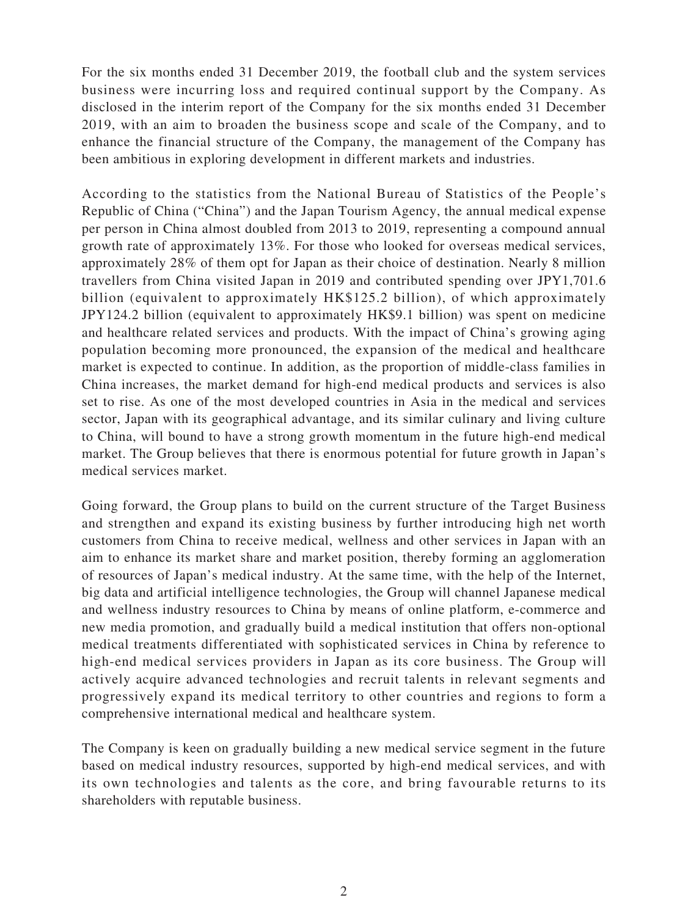For the six months ended 31 December 2019, the football club and the system services business were incurring loss and required continual support by the Company. As disclosed in the interim report of the Company for the six months ended 31 December 2019, with an aim to broaden the business scope and scale of the Company, and to enhance the financial structure of the Company, the management of the Company has been ambitious in exploring development in different markets and industries.

According to the statistics from the National Bureau of Statistics of the People's Republic of China ("China") and the Japan Tourism Agency, the annual medical expense per person in China almost doubled from 2013 to 2019, representing a compound annual growth rate of approximately 13%. For those who looked for overseas medical services, approximately 28% of them opt for Japan as their choice of destination. Nearly 8 million travellers from China visited Japan in 2019 and contributed spending over JPY1,701.6 billion (equivalent to approximately HK\$125.2 billion), of which approximately JPY124.2 billion (equivalent to approximately HK\$9.1 billion) was spent on medicine and healthcare related services and products. With the impact of China's growing aging population becoming more pronounced, the expansion of the medical and healthcare market is expected to continue. In addition, as the proportion of middle-class families in China increases, the market demand for high-end medical products and services is also set to rise. As one of the most developed countries in Asia in the medical and services sector, Japan with its geographical advantage, and its similar culinary and living culture to China, will bound to have a strong growth momentum in the future high-end medical market. The Group believes that there is enormous potential for future growth in Japan's medical services market.

Going forward, the Group plans to build on the current structure of the Target Business and strengthen and expand its existing business by further introducing high net worth customers from China to receive medical, wellness and other services in Japan with an aim to enhance its market share and market position, thereby forming an agglomeration of resources of Japan's medical industry. At the same time, with the help of the Internet, big data and artificial intelligence technologies, the Group will channel Japanese medical and wellness industry resources to China by means of online platform, e-commerce and new media promotion, and gradually build a medical institution that offers non-optional medical treatments differentiated with sophisticated services in China by reference to high-end medical services providers in Japan as its core business. The Group will actively acquire advanced technologies and recruit talents in relevant segments and progressively expand its medical territory to other countries and regions to form a comprehensive international medical and healthcare system.

The Company is keen on gradually building a new medical service segment in the future based on medical industry resources, supported by high-end medical services, and with its own technologies and talents as the core, and bring favourable returns to its shareholders with reputable business.